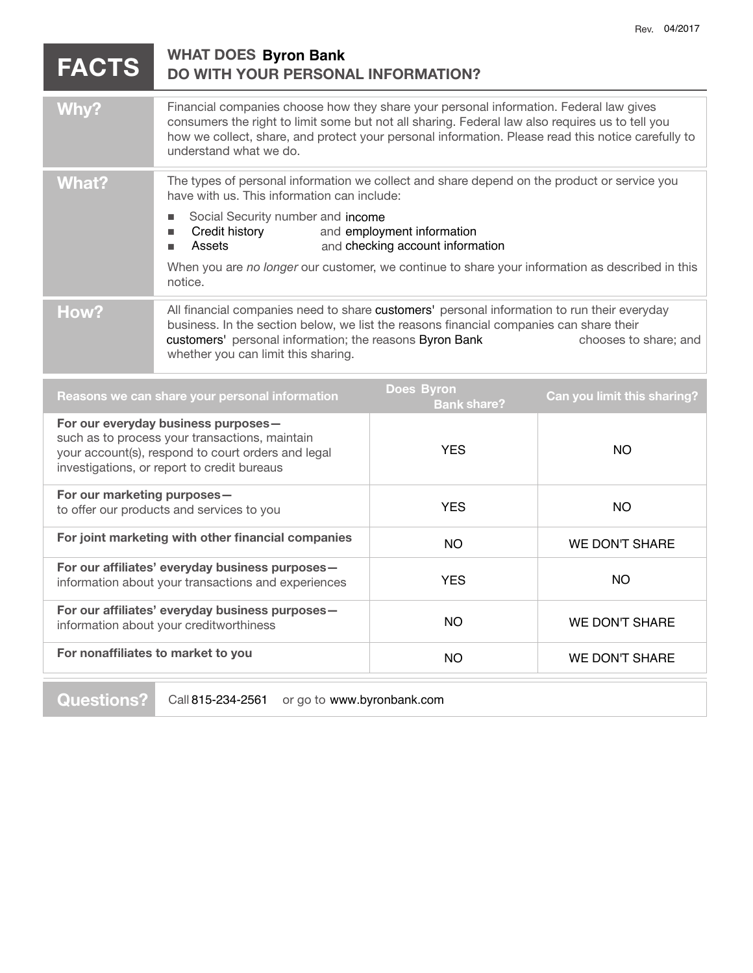| <b>FACTS</b>                                                                                                                                                                               | <b>WHAT DOES Byron Bank</b><br>DO WITH YOUR PERSONAL INFORMATION?                                                                                                                                                                                                                                                                                                                                     |                                         |                             |
|--------------------------------------------------------------------------------------------------------------------------------------------------------------------------------------------|-------------------------------------------------------------------------------------------------------------------------------------------------------------------------------------------------------------------------------------------------------------------------------------------------------------------------------------------------------------------------------------------------------|-----------------------------------------|-----------------------------|
| Why?                                                                                                                                                                                       | Financial companies choose how they share your personal information. Federal law gives<br>consumers the right to limit some but not all sharing. Federal law also requires us to tell you<br>how we collect, share, and protect your personal information. Please read this notice carefully to<br>understand what we do.                                                                             |                                         |                             |
| <b>What?</b>                                                                                                                                                                               | The types of personal information we collect and share depend on the product or service you<br>have with us. This information can include:<br>Social Security number and income<br>and employment information<br>Credit history<br>٠<br>Assets<br>and checking account information<br>٠<br>When you are no longer our customer, we continue to share your information as described in this<br>notice. |                                         |                             |
| How?                                                                                                                                                                                       | All financial companies need to share customers' personal information to run their everyday<br>business. In the section below, we list the reasons financial companies can share their<br>customers' personal information; the reasons Byron Bank<br>chooses to share; and<br>whether you can limit this sharing.                                                                                     |                                         |                             |
|                                                                                                                                                                                            | Reasons we can share your personal information                                                                                                                                                                                                                                                                                                                                                        | <b>Does Byron</b><br><b>Bank share?</b> | Can you limit this sharing? |
| For our everyday business purposes-<br>such as to process your transactions, maintain<br>your account(s), respond to court orders and legal<br>investigations, or report to credit bureaus |                                                                                                                                                                                                                                                                                                                                                                                                       | <b>YES</b>                              | <b>NO</b>                   |
| For our marketing purposes-<br>to offer our products and services to you                                                                                                                   |                                                                                                                                                                                                                                                                                                                                                                                                       | <b>YES</b>                              | <b>NO</b>                   |
| For joint marketing with other financial companies                                                                                                                                         |                                                                                                                                                                                                                                                                                                                                                                                                       | <b>NO</b>                               | <b>WE DON'T SHARE</b>       |
| $\Gamma_{\alpha\mu\alpha}$ , $\ldots$ affiliates) avenuelov business numeros                                                                                                               |                                                                                                                                                                                                                                                                                                                                                                                                       |                                         |                             |

| For our affiliates' everyday business purposes-<br>information about your transactions and experiences | YFS | NΟ             |
|--------------------------------------------------------------------------------------------------------|-----|----------------|
| For our affiliates' everyday business purposes-<br>information about your creditworthiness             | NO. | WE DON'T SHARE |
| For nonaffiliates to market to you                                                                     | NO. | WE DON'T SHARE |
|                                                                                                        |     |                |
|                                                                                                        |     |                |

**Questions?** Call 815-234-2561 or go to www.byronbank.com